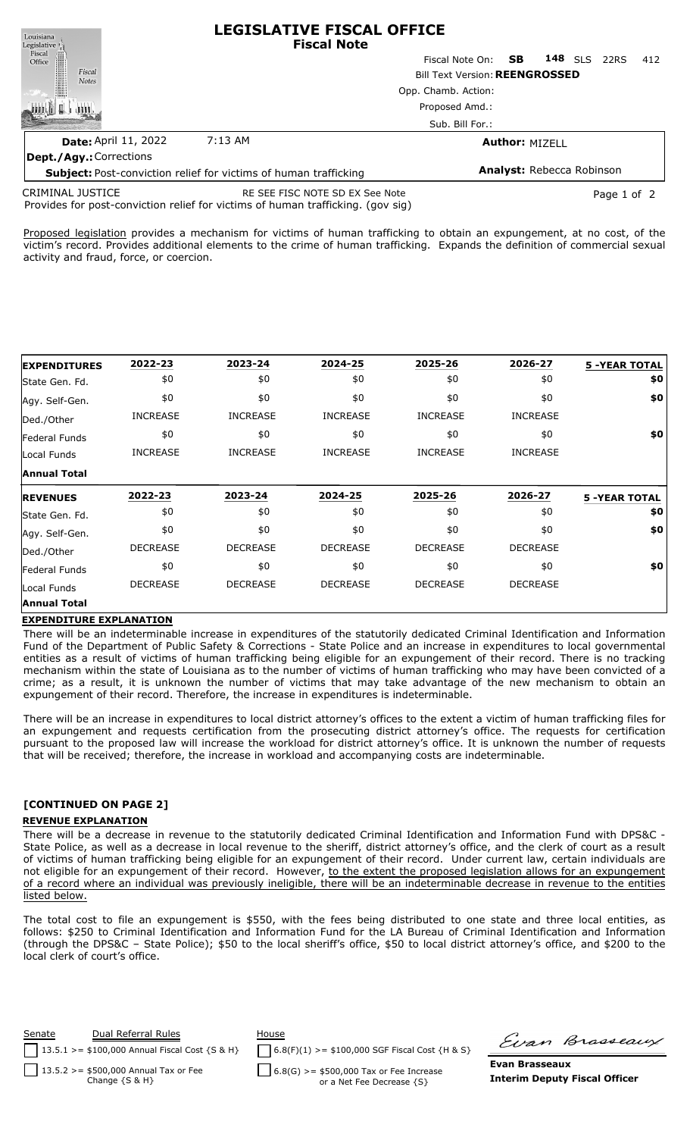| Louisiana<br>Legislative <sub>1</sub>                                   | <b>LEGISLATIVE FISCAL OFFICE</b><br><b>Fiscal Note</b> |                                       |                       |                |             |     |
|-------------------------------------------------------------------------|--------------------------------------------------------|---------------------------------------|-----------------------|----------------|-------------|-----|
| Fiscal<br>Office                                                        |                                                        | Fiscal Note On: <b>SB</b>             |                       | <b>148</b> SLS | 22RS        | 412 |
| Fiscal<br><b>Notes</b>                                                  |                                                        | <b>Bill Text Version: REENGROSSED</b> |                       |                |             |     |
|                                                                         |                                                        | Opp. Chamb. Action:                   |                       |                |             |     |
|                                                                         |                                                        | Proposed Amd.:                        |                       |                |             |     |
|                                                                         |                                                        | Sub. Bill For.:                       |                       |                |             |     |
| <b>Date: April 11, 2022</b>                                             | $7:13$ AM                                              |                                       | <b>Author: MIZELL</b> |                |             |     |
| <b>Dept./Agy.: Corrections</b>                                          |                                                        |                                       |                       |                |             |     |
| <b>Subject:</b> Post-conviction relief for victims of human trafficking |                                                        | <b>Analyst: Rebecca Robinson</b>      |                       |                |             |     |
| <b>CRIMINAL JUSTICE</b><br>$\mathbf{r}$ $\mathbf{r}$<br>.               | RE SEE FISC NOTE SD EX See Note<br>.                   |                                       |                       |                | Page 1 of 2 |     |

Provides for post-conviction relief for victims of human trafficking. (gov sig)

Proposed legislation provides a mechanism for victims of human trafficking to obtain an expungement, at no cost, of the victim's record. Provides additional elements to the crime of human trafficking. Expands the definition of commercial sexual activity and fraud, force, or coercion.

| <b>EXPENDITURES</b>           | 2022-23         | 2023-24         | 2024-25         | 2025-26         | 2026-27         | <b>5 -YEAR TOTAL</b> |
|-------------------------------|-----------------|-----------------|-----------------|-----------------|-----------------|----------------------|
| State Gen. Fd.                | \$0             | \$0             | \$0             | \$0             | \$0             | \$0                  |
| Agy. Self-Gen.                | \$0             | \$0             | \$0             | \$0             | \$0             | \$0                  |
| Ded./Other                    | <b>INCREASE</b> | <b>INCREASE</b> | <b>INCREASE</b> | <b>INCREASE</b> | <b>INCREASE</b> |                      |
| Federal Funds                 | \$0             | \$0             | \$0             | \$0             | \$0             | \$0                  |
| Local Funds                   | <b>INCREASE</b> | <b>INCREASE</b> | <b>INCREASE</b> | <b>INCREASE</b> | <b>INCREASE</b> |                      |
| <b>Annual Total</b>           |                 |                 |                 |                 |                 |                      |
|                               |                 |                 |                 |                 |                 |                      |
| <b>REVENUES</b>               | 2022-23         | 2023-24         | 2024-25         | 2025-26         | 2026-27         | <b>5 -YEAR TOTAL</b> |
| State Gen. Fd.                | \$0             | \$0             | \$0             | \$0             | \$0             | \$0                  |
|                               | \$0             | \$0             | \$0             | \$0             | \$0             | \$0                  |
| Ded./Other                    | <b>DECREASE</b> | <b>DECREASE</b> | <b>DECREASE</b> | <b>DECREASE</b> | <b>DECREASE</b> |                      |
| Federal Funds                 | \$0             | \$0             | \$0             | \$0             | \$0             | \$0                  |
| Agy. Self-Gen.<br>Local Funds | <b>DECREASE</b> | <b>DECREASE</b> | <b>DECREASE</b> | <b>DECREASE</b> | <b>DECREASE</b> |                      |

## **EXPENDITURE EXPLANATION**

There will be an indeterminable increase in expenditures of the statutorily dedicated Criminal Identification and Information Fund of the Department of Public Safety & Corrections - State Police and an increase in expenditures to local governmental entities as a result of victims of human trafficking being eligible for an expungement of their record. There is no tracking mechanism within the state of Louisiana as to the number of victims of human trafficking who may have been convicted of a crime; as a result, it is unknown the number of victims that may take advantage of the new mechanism to obtain an expungement of their record. Therefore, the increase in expenditures is indeterminable.

There will be an increase in expenditures to local district attorney's offices to the extent a victim of human trafficking files for an expungement and requests certification from the prosecuting district attorney's office. The requests for certification pursuant to the proposed law will increase the workload for district attorney's office. It is unknown the number of requests that will be received; therefore, the increase in workload and accompanying costs are indeterminable.

## **[CONTINUED ON PAGE 2]**

## **REVENUE EXPLANATION**

There will be a decrease in revenue to the statutorily dedicated Criminal Identification and Information Fund with DPS&C - State Police, as well as a decrease in local revenue to the sheriff, district attorney's office, and the clerk of court as a result of victims of human trafficking being eligible for an expungement of their record. Under current law, certain individuals are not eligible for an expungement of their record. However, to the extent the proposed legislation allows for an expungement of a record where an individual was previously ineligible, there will be an indeterminable decrease in revenue to the entities listed below.

The total cost to file an expungement is \$550, with the fees being distributed to one state and three local entities, as follows: \$250 to Criminal Identification and Information Fund for the LA Bureau of Criminal Identification and Information (through the DPS&C – State Police); \$50 to the local sheriff's office, \$50 to local district attorney's office, and \$200 to the local clerk of court's office.